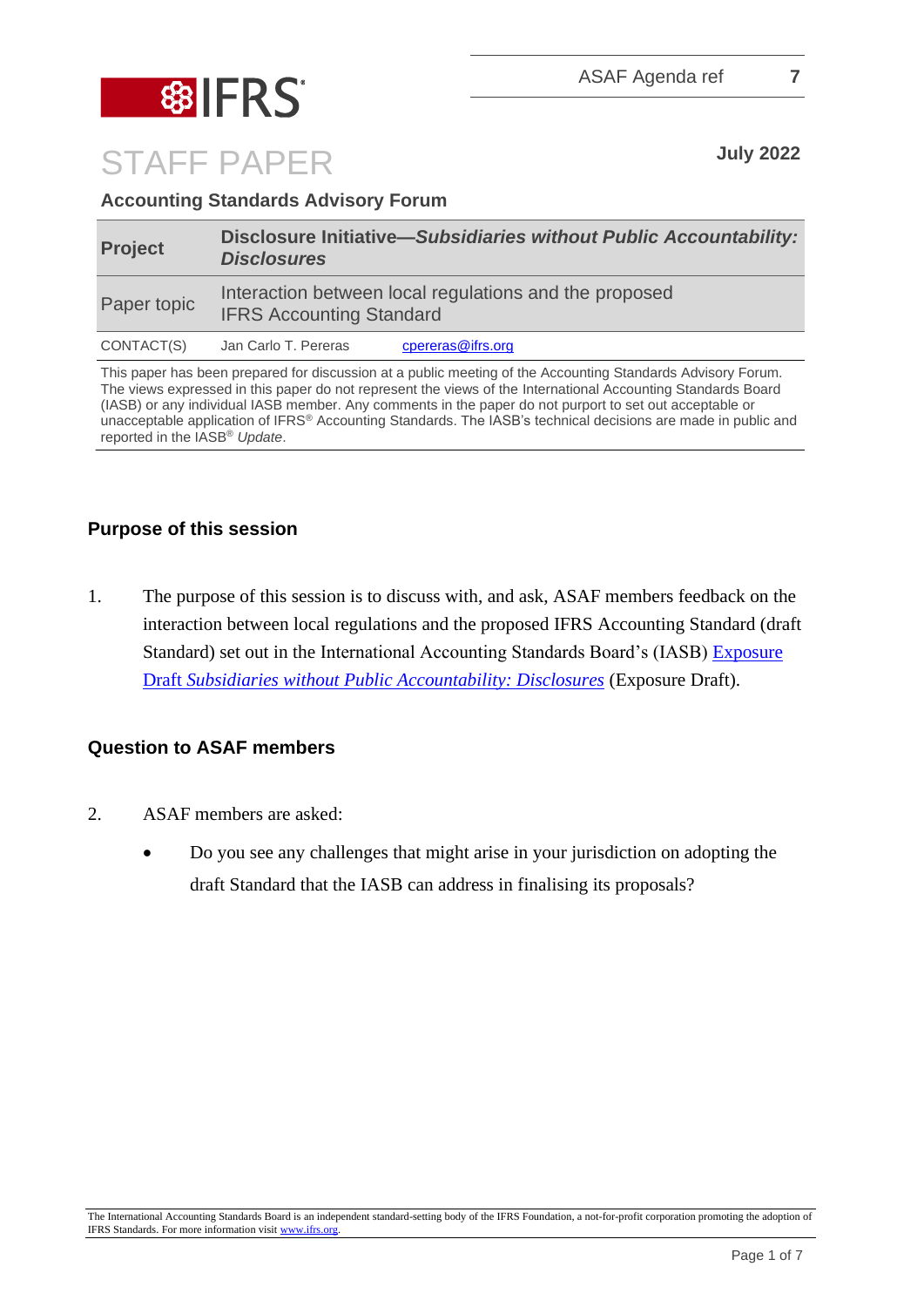

# STAFF PAPER **July <sup>2022</sup>**

# **Accounting Standards Advisory Forum**

| <b>Project</b> | Disclosure Initiative-Subsidiaries without Public Accountability:<br><b>Disclosures</b>   |                   |
|----------------|-------------------------------------------------------------------------------------------|-------------------|
| Paper topic    | Interaction between local regulations and the proposed<br><b>IFRS Accounting Standard</b> |                   |
| CONTACT(S)     | Jan Carlo T. Pereras                                                                      | cpereras@ifrs.org |

This paper has been prepared for discussion at a public meeting of the Accounting Standards Advisory Forum. The views expressed in this paper do not represent the views of the International Accounting Standards Board (IASB) or any individual IASB member. Any comments in the paper do not purport to set out acceptable or unacceptable application of IFRS® Accounting Standards. The IASB's technical decisions are made in public and reported in the IASB® *Update*.

# **Purpose of this session**

1. The purpose of this session is to discuss with, and ask, ASAF members feedback on the interaction between local regulations and the proposed IFRS Accounting Standard (draft Standard) set out in the International Accounting Standards Board's (IASB) [Exposure](https://www.ifrs.org/projects/work-plan/subsidiaries-smes/#published-documents)  Draft *[Subsidiaries without Public Accountability: Disclosures](https://www.ifrs.org/projects/work-plan/subsidiaries-smes/#published-documents)* (Exposure Draft).

# **Question to ASAF members**

- 2. ASAF members are asked:
	- Do you see any challenges that might arise in your jurisdiction on adopting the draft Standard that the IASB can address in finalising its proposals?

The International Accounting Standards Board is an independent standard-setting body of the IFRS Foundation, a not-for-profit corporation promoting the adoption of IFRS Standards. For more information visit [www.ifrs.org.](http://www.ifrs.org/)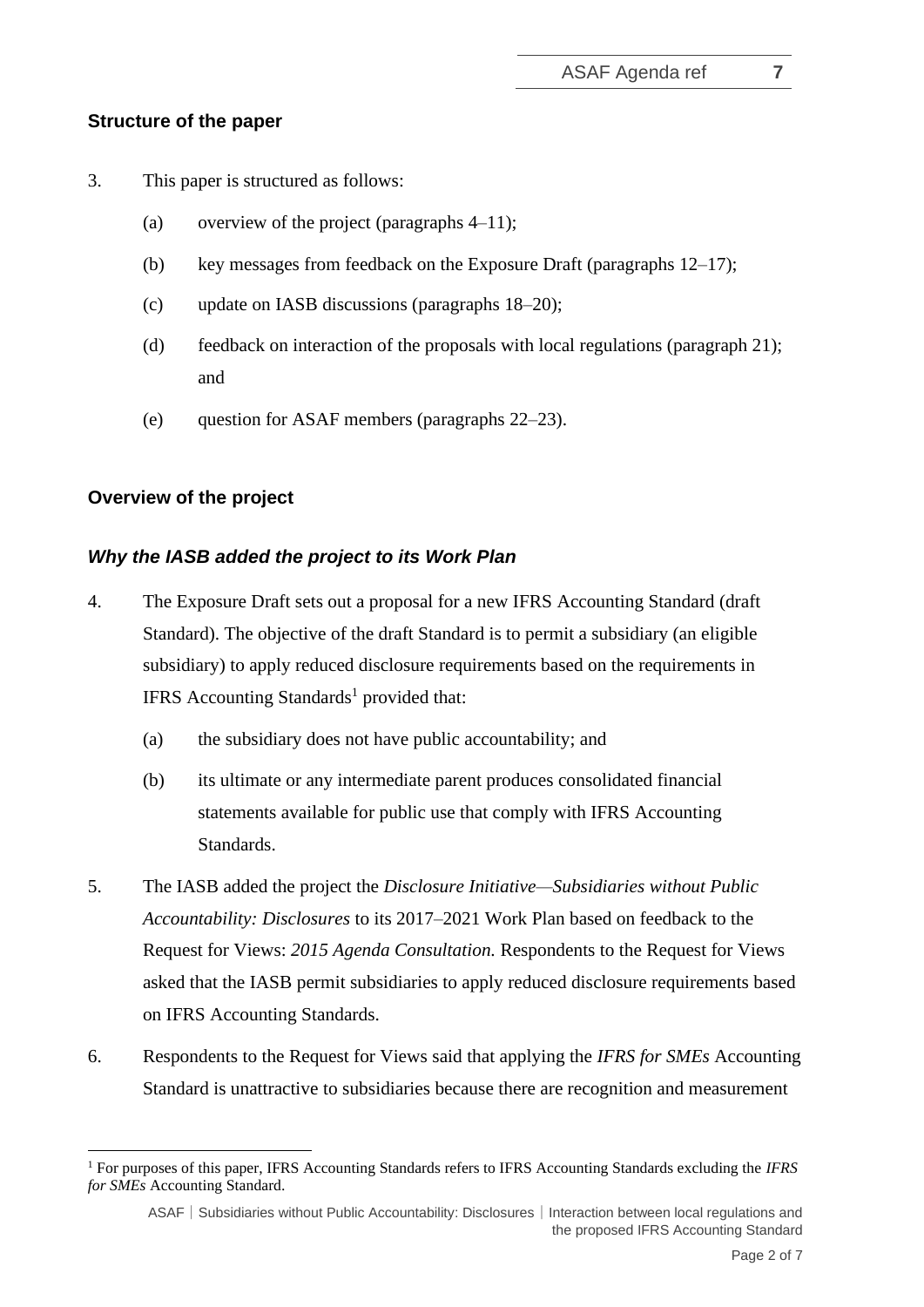#### **Structure of the paper**

- 3. This paper is structured as follows:
	- (a) overview of the project (paragraphs  $4-11$ );
	- (b) key messages from feedback on the Exposure Draft (paragraphs 12–17);
	- (c) update on IASB discussions (paragraphs 18–20);
	- (d) feedback on interaction of the proposals with local regulations (paragraph 21); and
	- (e) question for ASAF members (paragraphs 22–23).

#### **Overview of the project**

#### *Why the IASB added the project to its Work Plan*

- 4. The Exposure Draft sets out a proposal for a new IFRS Accounting Standard (draft Standard). The objective of the draft Standard is to permit a subsidiary (an eligible subsidiary) to apply reduced disclosure requirements based on the requirements in IFRS Accounting Standards<sup>1</sup> provided that:
	- (a) the subsidiary does not have public accountability; and
	- (b) its ultimate or any intermediate parent produces consolidated financial statements available for public use that comply with IFRS Accounting Standards.
- 5. The IASB added the project the *Disclosure Initiative—Subsidiaries [without Public](https://www.ifrs.org/content/ifrs/home/projects/work-plan/subsidiaries-smes.html)  [Accountability: Disclosures](https://www.ifrs.org/content/ifrs/home/projects/work-plan/subsidiaries-smes.html)* to its 2017–2021 Work Plan based on feedback to the Request for Views: *2015 Agenda Consultation.* Respondents to the Request for Views asked that the IASB permit subsidiaries to apply reduced disclosure requirements based on IFRS Accounting Standards.
- 6. Respondents to the Request for Views said that applying the *IFRS for SMEs* Accounting Standard is unattractive to subsidiaries because there are recognition and measurement

<sup>1</sup> For purposes of this paper, IFRS Accounting Standards refers to IFRS Accounting Standards excluding the *IFRS for SMEs* Accounting Standard.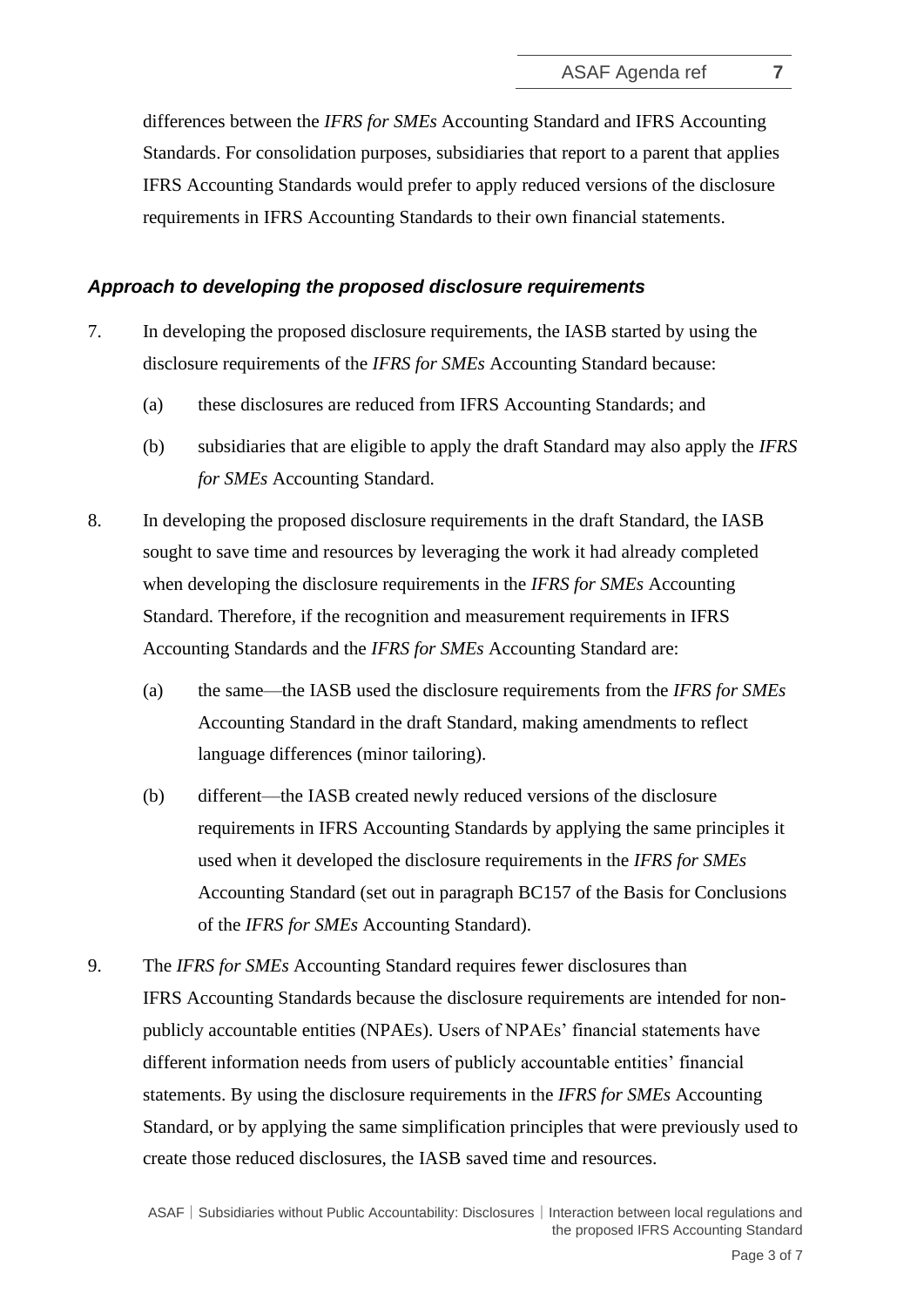differences between the *IFRS for SMEs* Accounting Standard and IFRS Accounting Standards. For consolidation purposes, subsidiaries that report to a parent that applies IFRS Accounting Standards would prefer to apply reduced versions of the disclosure requirements in IFRS Accounting Standards to their own financial statements.

#### *Approach to developing the proposed disclosure requirements*

- 7. In developing the proposed disclosure requirements, the IASB started by using the disclosure requirements of the *IFRS for SMEs* Accounting Standard because:
	- (a) these disclosures are reduced from IFRS Accounting Standards; and
	- (b) subsidiaries that are eligible to apply the draft Standard may also apply the *IFRS for SMEs* Accounting Standard.
- 8. In developing the proposed disclosure requirements in the draft Standard, the IASB sought to save time and resources by leveraging the work it had already completed when developing the disclosure requirements in the *IFRS for SMEs* Accounting Standard. Therefore, if the recognition and measurement requirements in IFRS Accounting Standards and the *IFRS for SMEs* Accounting Standard are:
	- (a) the same—the IASB used the disclosure requirements from the *IFRS for SMEs*  Accounting Standard in the draft Standard, making amendments to reflect language differences (minor tailoring).
	- (b) different—the IASB created newly reduced versions of the disclosure requirements in IFRS Accounting Standards by applying the same principles it used when it developed the disclosure requirements in the *IFRS for SMEs*  Accounting Standard (set out in paragraph BC157 of the Basis for Conclusions of the *IFRS for SMEs* Accounting Standard).
- 9. The *IFRS for SMEs* Accounting Standard requires fewer disclosures than IFRS Accounting Standards because the disclosure requirements are intended for nonpublicly accountable entities (NPAEs). Users of NPAEs' financial statements have different information needs from users of publicly accountable entities' financial statements. By using the disclosure requirements in the *IFRS for SMEs* Accounting Standard, or by applying the same simplification principles that were previously used to create those reduced disclosures, the IASB saved time and resources.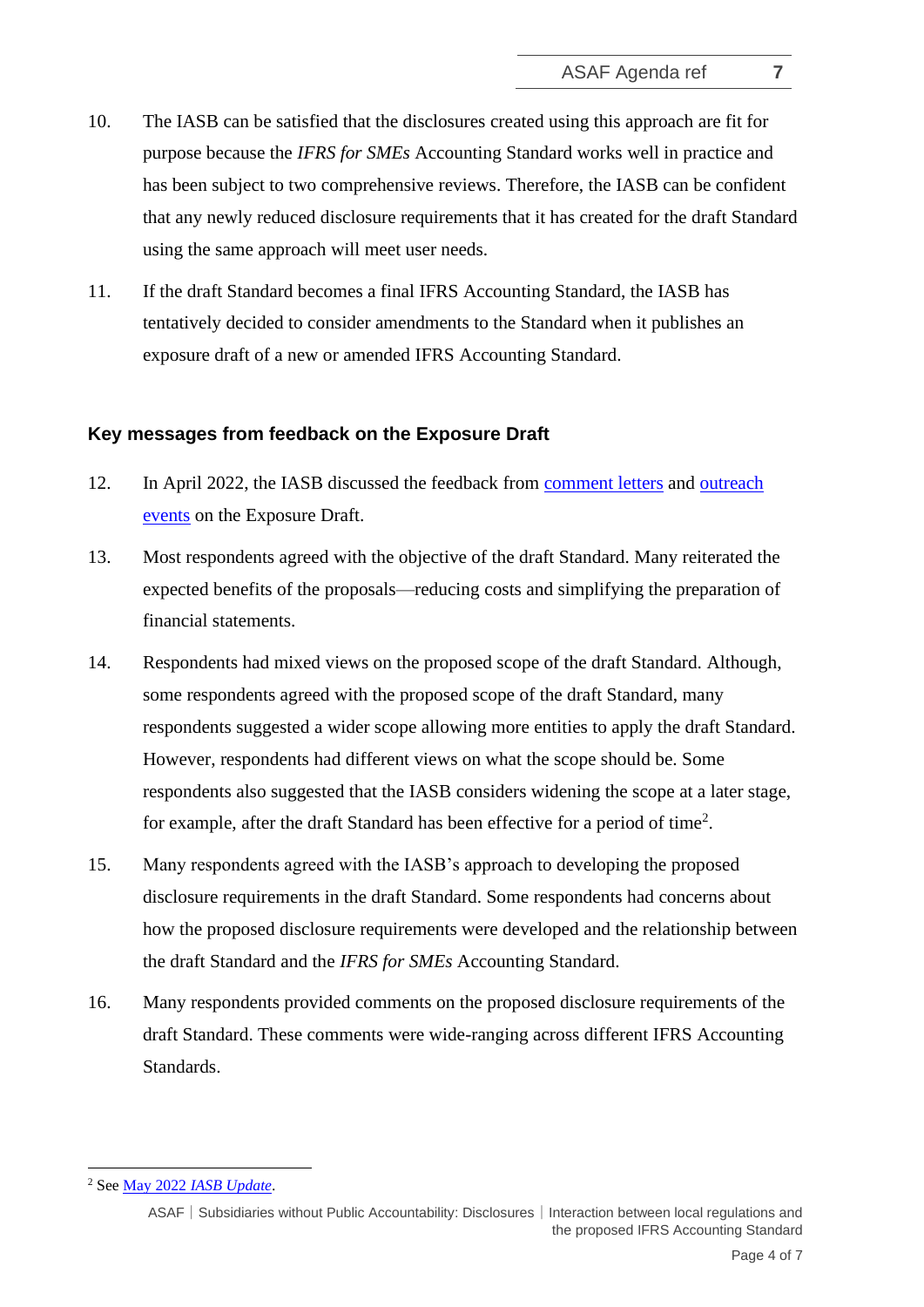- 10. The IASB can be satisfied that the disclosures created using this approach are fit for purpose because the *IFRS for SMEs* Accounting Standard works well in practice and has been subject to two comprehensive reviews. Therefore, the IASB can be confident that any newly reduced disclosure requirements that it has created for the draft Standard using the same approach will meet user needs.
- 11. If the draft Standard becomes a final IFRS Accounting Standard, the IASB has tentatively decided to consider amendments to the Standard when it publishes an exposure draft of a new or amended IFRS Accounting Standard.

#### **Key messages from feedback on the Exposure Draft**

- 12. In April 2022, the IASB discussed the feedback from [comment letters](https://www.ifrs.org/content/dam/ifrs/meetings/2022/april/iasb/ap31a-feedback-from-comment-letters.pdf) and [outreach](https://www.ifrs.org/content/dam/ifrs/meetings/2022/april/iasb/ap31b-subsidiaries-feedback-from-outreach-events-final.pdf)  [events](https://www.ifrs.org/content/dam/ifrs/meetings/2022/april/iasb/ap31b-subsidiaries-feedback-from-outreach-events-final.pdf) on the Exposure Draft.
- 13. Most respondents agreed with the objective of the draft Standard. Many reiterated the expected benefits of the proposals—reducing costs and simplifying the preparation of financial statements.
- 14. Respondents had mixed views on the proposed scope of the draft Standard. Although, some respondents agreed with the proposed scope of the draft Standard, many respondents suggested a wider scope allowing more entities to apply the draft Standard. However, respondents had different views on what the scope should be. Some respondents also suggested that the IASB considers widening the scope at a later stage, for example, after the draft Standard has been effective for a period of time<sup>2</sup>.
- 15. Many respondents agreed with the IASB's approach to developing the proposed disclosure requirements in the draft Standard. Some respondents had concerns about how the proposed disclosure requirements were developed and the relationship between the draft Standard and the *IFRS for SMEs* Accounting Standard.
- 16. Many respondents provided comments on the proposed disclosure requirements of the draft Standard. These comments were wide-ranging across different IFRS Accounting Standards.

<sup>2</sup> See May 2022 *[IASB Update](https://www.ifrs.org/news-and-events/updates/iasb/2022/iasb-update-may-2022/#9)*.

ASAF│Subsidiaries without Public Accountability: Disclosures│Interaction between local regulations and the proposed IFRS Accounting Standard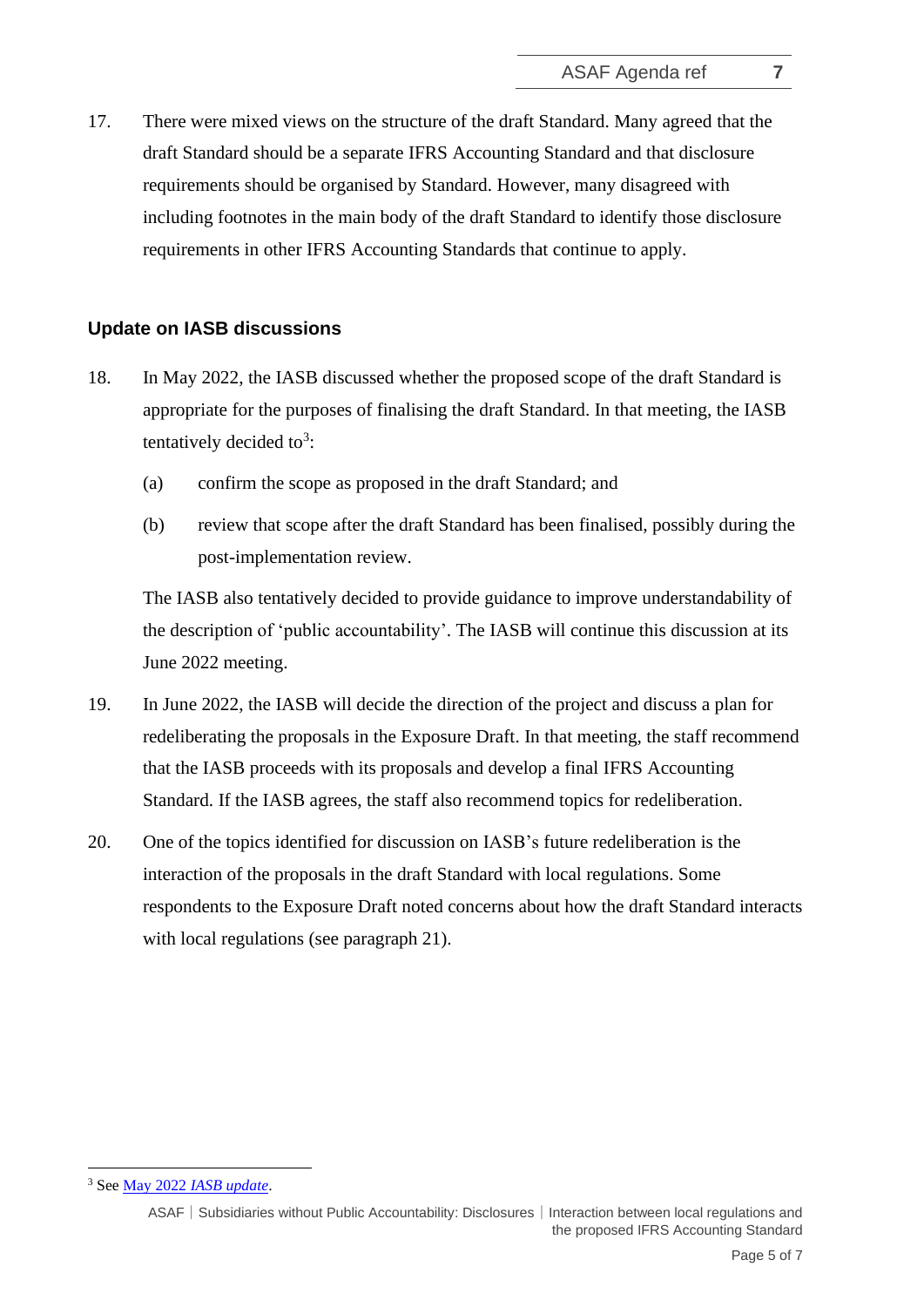17. There were mixed views on the structure of the draft Standard. Many agreed that the draft Standard should be a separate IFRS Accounting Standard and that disclosure requirements should be organised by Standard. However, many disagreed with including footnotes in the main body of the draft Standard to identify those disclosure requirements in other IFRS Accounting Standards that continue to apply.

#### **Update on IASB discussions**

- 18. In May 2022, the IASB discussed whether the proposed scope of the draft Standard is appropriate for the purposes of finalising the draft Standard. In that meeting, the IASB tentatively decided to<sup>3</sup>:
	- (a) confirm the scope as proposed in the draft Standard; and
	- (b) review that scope after the draft Standard has been finalised, possibly during the post-implementation review.

The IASB also tentatively decided to provide guidance to improve understandability of the description of 'public accountability'. The IASB will continue this discussion at its June 2022 meeting.

- 19. In June 2022, the IASB will decide the direction of the project and discuss a plan for redeliberating the proposals in the Exposure Draft. In that meeting, the staff recommend that the IASB proceeds with its proposals and develop a final IFRS Accounting Standard. If the IASB agrees, the staff also recommend topics for redeliberation.
- 20. One of the topics identified for discussion on IASB's future redeliberation is the interaction of the proposals in the draft Standard with local regulations. Some respondents to the Exposure Draft noted concerns about how the draft Standard interacts with local regulations (see paragraph 21).

<sup>3</sup> See May 2022 *[IASB update](https://www.ifrs.org/news-and-events/updates/iasb/2022/iasb-update-may-2022/#8)*.

ASAF│Subsidiaries without Public Accountability: Disclosures│Interaction between local regulations and the proposed IFRS Accounting Standard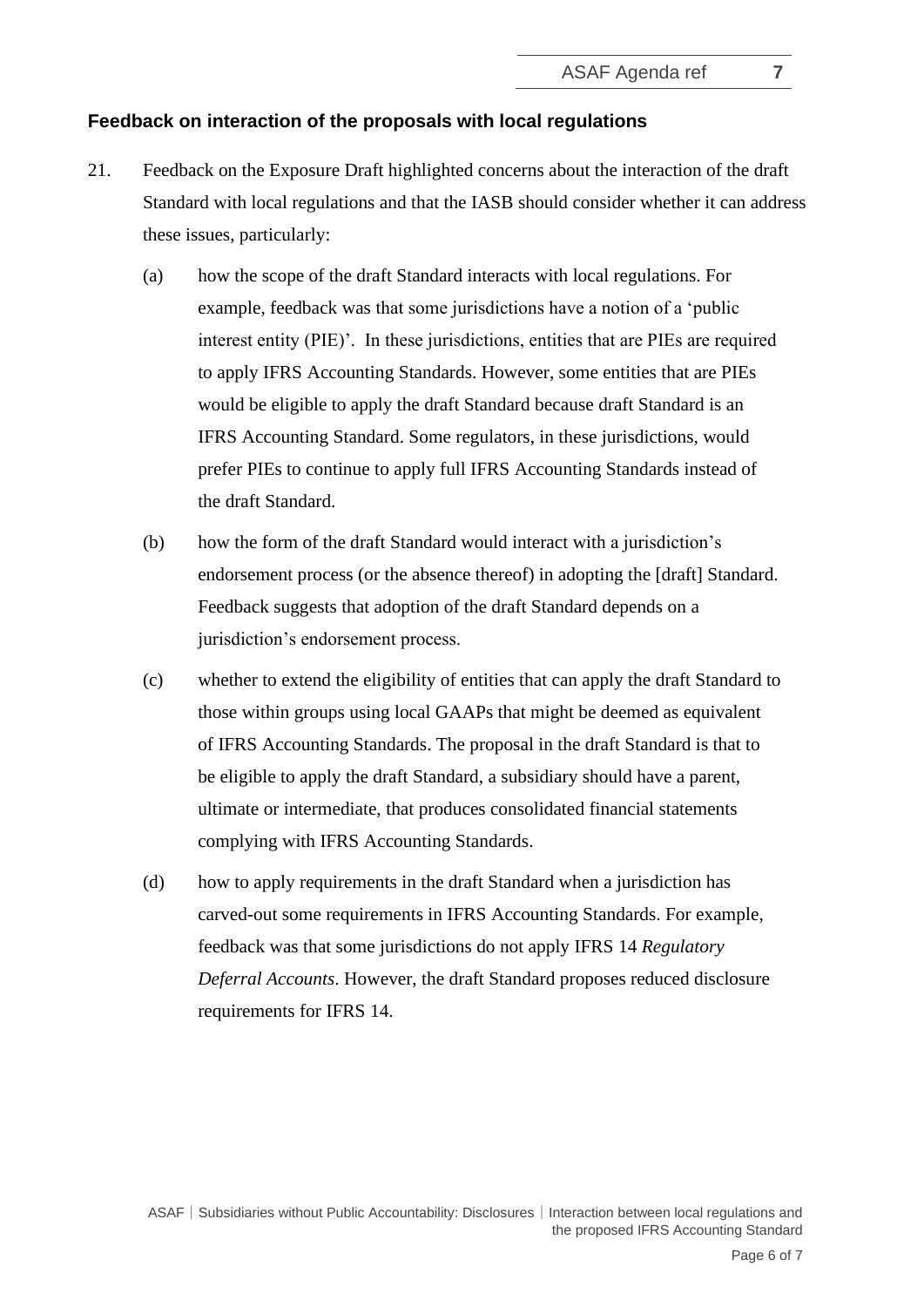### **Feedback on interaction of the proposals with local regulations**

- 21. Feedback on the Exposure Draft highlighted concerns about the interaction of the draft Standard with local regulations and that the IASB should consider whether it can address these issues, particularly:
	- (a) how the scope of the draft Standard interacts with local regulations. For example, feedback was that some jurisdictions have a notion of a 'public interest entity (PIE)'. In these jurisdictions, entities that are PIEs are required to apply IFRS Accounting Standards. However, some entities that are PIEs would be eligible to apply the draft Standard because draft Standard is an IFRS Accounting Standard. Some regulators, in these jurisdictions, would prefer PIEs to continue to apply full IFRS Accounting Standards instead of the draft Standard.
	- (b) how the form of the draft Standard would interact with a jurisdiction's endorsement process (or the absence thereof) in adopting the [draft] Standard. Feedback suggests that adoption of the draft Standard depends on a jurisdiction's endorsement process.
	- (c) whether to extend the eligibility of entities that can apply the draft Standard to those within groups using local GAAPs that might be deemed as equivalent of IFRS Accounting Standards. The proposal in the draft Standard is that to be eligible to apply the draft Standard, a subsidiary should have a parent, ultimate or intermediate, that produces consolidated financial statements complying with IFRS Accounting Standards.
	- (d) how to apply requirements in the draft Standard when a jurisdiction has carved-out some requirements in IFRS Accounting Standards. For example, feedback was that some jurisdictions do not apply IFRS 14 *Regulatory Deferral Accounts*. However, the draft Standard proposes reduced disclosure requirements for IFRS 14.